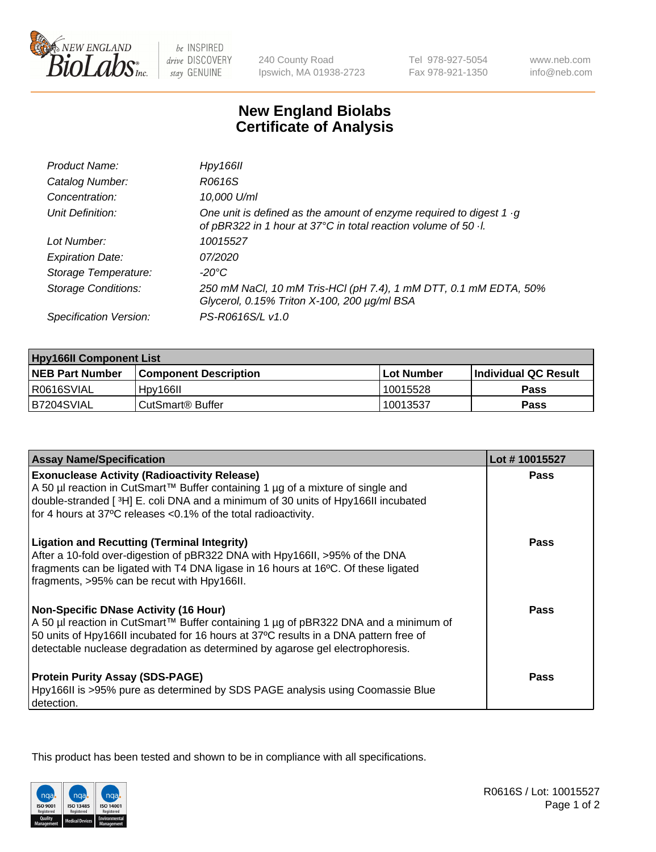

 $be$  INSPIRED drive DISCOVERY stay GENUINE

240 County Road Ipswich, MA 01938-2723 Tel 978-927-5054 Fax 978-921-1350

www.neb.com info@neb.com

## **New England Biolabs Certificate of Analysis**

| Product Name:           | Hpy166II                                                                                                                                      |
|-------------------------|-----------------------------------------------------------------------------------------------------------------------------------------------|
| Catalog Number:         | R0616S                                                                                                                                        |
| Concentration:          | 10,000 U/ml                                                                                                                                   |
| Unit Definition:        | One unit is defined as the amount of enzyme required to digest $1 \cdot g$<br>of pBR322 in 1 hour at 37°C in total reaction volume of 50 · l. |
| Lot Number:             | 10015527                                                                                                                                      |
| <b>Expiration Date:</b> | 07/2020                                                                                                                                       |
| Storage Temperature:    | -20°C                                                                                                                                         |
| Storage Conditions:     | 250 mM NaCl, 10 mM Tris-HCl (pH 7.4), 1 mM DTT, 0.1 mM EDTA, 50%<br>Glycerol, 0.15% Triton X-100, 200 µg/ml BSA                               |
| Specification Version:  | PS-R0616S/L v1.0                                                                                                                              |

| <b>Hpy166II Component List</b> |                              |                   |                             |  |
|--------------------------------|------------------------------|-------------------|-----------------------------|--|
| <b>NEB Part Number</b>         | <b>Component Description</b> | <b>Lot Number</b> | <b>Individual QC Result</b> |  |
| I R0616SVIAL                   | Hpy166II                     | 10015528          | <b>Pass</b>                 |  |
| B7204SVIAL                     | l CutSmart® Buffer           | 10013537          | Pass                        |  |

| <b>Assay Name/Specification</b>                                                                                                                                                                                                                                                                              | Lot #10015527 |
|--------------------------------------------------------------------------------------------------------------------------------------------------------------------------------------------------------------------------------------------------------------------------------------------------------------|---------------|
| <b>Exonuclease Activity (Radioactivity Release)</b><br>A 50 µl reaction in CutSmart™ Buffer containing 1 µg of a mixture of single and                                                                                                                                                                       | <b>Pass</b>   |
| double-stranded [3H] E. coli DNA and a minimum of 30 units of Hpy166II incubated<br>for 4 hours at 37°C releases <0.1% of the total radioactivity.                                                                                                                                                           |               |
| <b>Ligation and Recutting (Terminal Integrity)</b><br>After a 10-fold over-digestion of pBR322 DNA with Hpy166II, >95% of the DNA<br>fragments can be ligated with T4 DNA ligase in 16 hours at 16°C. Of these ligated<br>fragments, >95% can be recut with Hpy166II.                                        | <b>Pass</b>   |
| <b>Non-Specific DNase Activity (16 Hour)</b><br>A 50 µl reaction in CutSmart™ Buffer containing 1 µg of pBR322 DNA and a minimum of<br>50 units of Hpy166II incubated for 16 hours at 37°C results in a DNA pattern free of<br>detectable nuclease degradation as determined by agarose gel electrophoresis. | Pass          |
| <b>Protein Purity Assay (SDS-PAGE)</b><br>Hpy166II is >95% pure as determined by SDS PAGE analysis using Coomassie Blue<br>detection.                                                                                                                                                                        | <b>Pass</b>   |

This product has been tested and shown to be in compliance with all specifications.